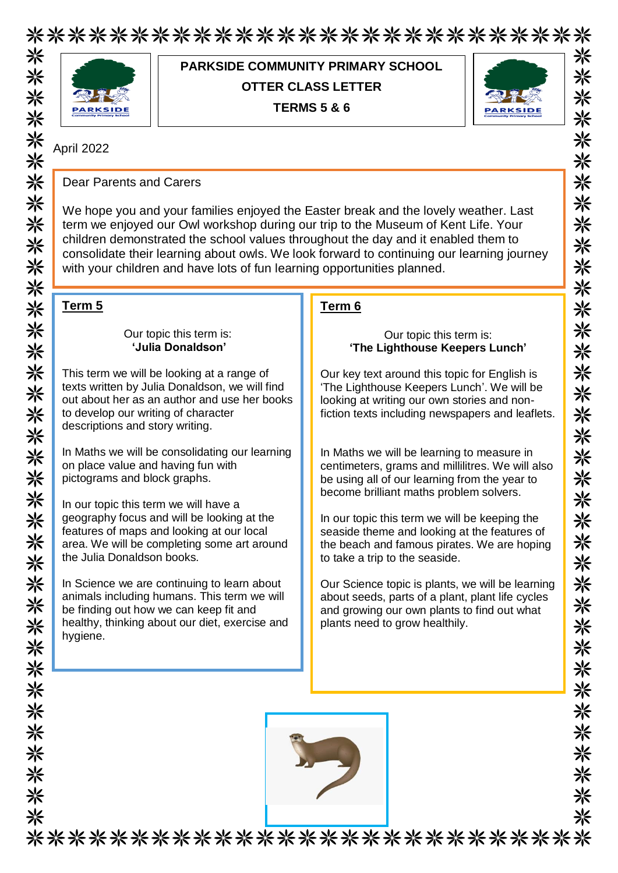\*\*\*\*\*\*\*\*\*\*\*\*\*\*\*\*\*\*\*\*\*\*\*\*\*\*\* 米



# **PARKSIDE COMMUNITY PRIMARY SCHOOL OTTER CLASS LETTER TERMS 5 & 6**



米

⋇

☀

米

☀ ☀ ※

米

☀

☀

米 氺

氺

氺

米

米 米

☀ ※

米

氺

氺

米

米米米

氺

米米米米

米

米

米

⋇

April 2022

Dear Parents and Carers

We hope you and your families enjoyed the Easter break and the lovely weather. Last term we enjoyed our Owl workshop during our trip to the Museum of Kent Life. Your children demonstrated the school values throughout the day and it enabled them to consolidate their learning about owls. We look forward to continuing our learning journey with your children and have lots of fun learning opportunities planned.

## **Term 5**

#### Our topic this term is: **'Julia Donaldson'**

This term we will be looking at a range of texts written by Julia Donaldson, we will find out about her as an author and use her books to develop our writing of character descriptions and story writing.

In Maths we will be consolidating our learning on place value and having fun with pictograms and block graphs.

In our topic this term we will have a geography focus and will be looking at the features of maps and looking at our local area. We will be completing some art around the Julia Donaldson books.

In Science we are continuing to learn about animals including humans. This term we will be finding out how we can keep fit and healthy, thinking about our diet, exercise and hygiene.

# **Term 6**

#### Our topic this term is: **'The Lighthouse Keepers Lunch'**

Our key text around this topic for English is 'The Lighthouse Keepers Lunch'. We will be looking at writing our own stories and nonfiction texts including newspapers and leaflets.

In Maths we will be learning to measure in centimeters, grams and millilitres. We will also be using all of our learning from the year to become brilliant maths problem solvers.

In our topic this term we will be keeping the seaside theme and looking at the features of the beach and famous pirates. We are hoping to take a trip to the seaside.

Our Science topic is plants, we will be learning about seeds, parts of a plant, plant life cycles and growing our own plants to find out what plants need to grow healthily.



\*\*\*\*\*\*\*\*\*\*\*\*\*\*\*\*\*\*\*\*\*\*\*\*\*\*\*